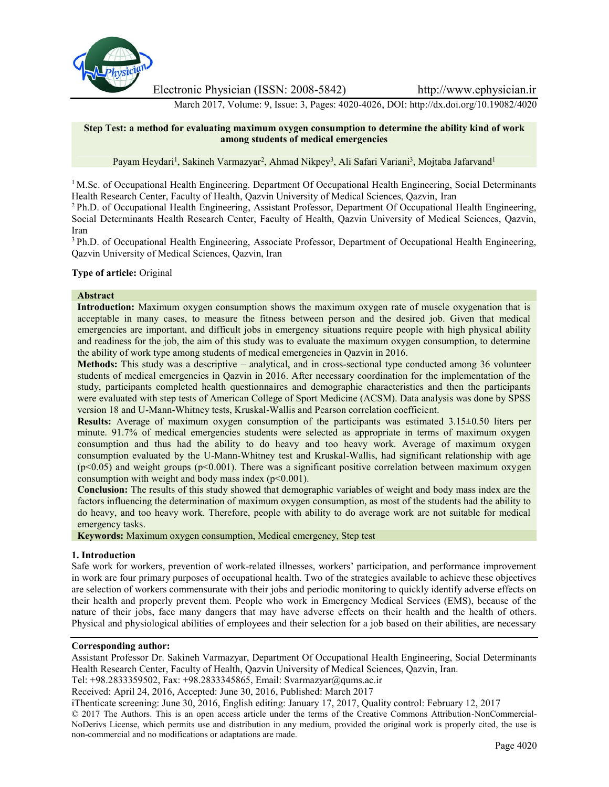

Electronic Physician (ISSN: 2008-5842) http://www.ephysician.ir

March 2017, Volume: 9, Issue: 3, Pages: 4020-4026, DOI: http://dx.doi.org/10.19082/4020

## **Step Test: a method for evaluating maximum oxygen consumption to determine the ability kind of work among students of medical emergencies**

Payam Heydari<sup>1</sup>, Sakineh Varmazyar<sup>2</sup>, Ahmad Nikpey<sup>3</sup>, Ali Safari Variani<sup>3</sup>, Mojtaba Jafarvand<sup>1</sup>

<sup>1</sup> M.Sc. of Occupational Health Engineering. Department Of Occupational Health Engineering, Social Determinants Health Research Center, Faculty of Health, Qazvin University of Medical Sciences, Qazvin, Iran

<sup>2</sup> Ph.D. of Occupational Health Engineering, Assistant Professor, Department Of Occupational Health Engineering, Social Determinants Health Research Center, Faculty of Health, Qazvin University of Medical Sciences, Qazvin, Iran

<sup>3</sup> Ph.D. of Occupational Health Engineering, Associate Professor, Department of Occupational Health Engineering, Qazvin University of Medical Sciences, Qazvin, Iran

### **Type of article:** Original

#### **Abstract**

**Introduction:** Maximum oxygen consumption shows the maximum oxygen rate of muscle oxygenation that is acceptable in many cases, to measure the fitness between person and the desired job. Given that medical emergencies are important, and difficult jobs in emergency situations require people with high physical ability and readiness for the job, the aim of this study was to evaluate the maximum oxygen consumption, to determine the ability of work type among students of medical emergencies in Qazvin in 2016.

**Methods:** This study was a descriptive – analytical, and in cross-sectional type conducted among 36 volunteer students of medical emergencies in Qazvin in 2016. After necessary coordination for the implementation of the study, participants completed health questionnaires and demographic characteristics and then the participants were evaluated with step tests of American College of Sport Medicine (ACSM). Data analysis was done by SPSS version 18 and U-Mann-Whitney tests, Kruskal-Wallis and Pearson correlation coefficient.

**Results:** Average of maximum oxygen consumption of the participants was estimated 3.15±0.50 liters per minute. 91.7% of medical emergencies students were selected as appropriate in terms of maximum oxygen consumption and thus had the ability to do heavy and too heavy work. Average of maximum oxygen consumption evaluated by the U-Mann-Whitney test and Kruskal-Wallis, had significant relationship with age  $(p<0.05)$  and weight groups ( $p<0.001$ ). There was a significant positive correlation between maximum oxygen consumption with weight and body mass index  $(p<0.001)$ .

**Conclusion:** The results of this study showed that demographic variables of weight and body mass index are the factors influencing the determination of maximum oxygen consumption, as most of the students had the ability to do heavy, and too heavy work. Therefore, people with ability to do average work are not suitable for medical emergency tasks.

**Keywords:** Maximum oxygen consumption, Medical emergency, Step test

#### **1. Introduction**

Safe work for workers, prevention of work-related illnesses, workers' participation, and performance improvement in work are four primary purposes of occupational health. Two of the strategies available to achieve these objectives are selection of workers commensurate with their jobs and periodic monitoring to quickly identify adverse effects on their health and properly prevent them. People who work in Emergency Medical Services (EMS), because of the nature of their jobs, face many dangers that may have adverse effects on their health and the health of others. Physical and physiological abilities of employees and their selection for a job based on their abilities, are necessary

#### **Corresponding author:**

Assistant Professor Dr. Sakineh Varmazyar, Department Of Occupational Health Engineering, Social Determinants Health Research Center, Faculty of Health, Qazvin University of Medical Sciences, Qazvin, Iran.

Tel: +98.2833359502, Fax: +98.2833345865, Email: Svarmazyar@qums.ac.ir

Received: April 24, 2016, Accepted: June 30, 2016, Published: March 2017

iThenticate screening: June 30, 2016, English editing: January 17, 2017, Quality control: February 12, 2017

© 2017 The Authors. This is an open access article under the terms of the Creative Commons Attribution-NonCommercial- NoDerivs License, which permits use and distribution in any medium, provided the original work is properly cited, the use is non-commercial and no modifications or adaptations are made.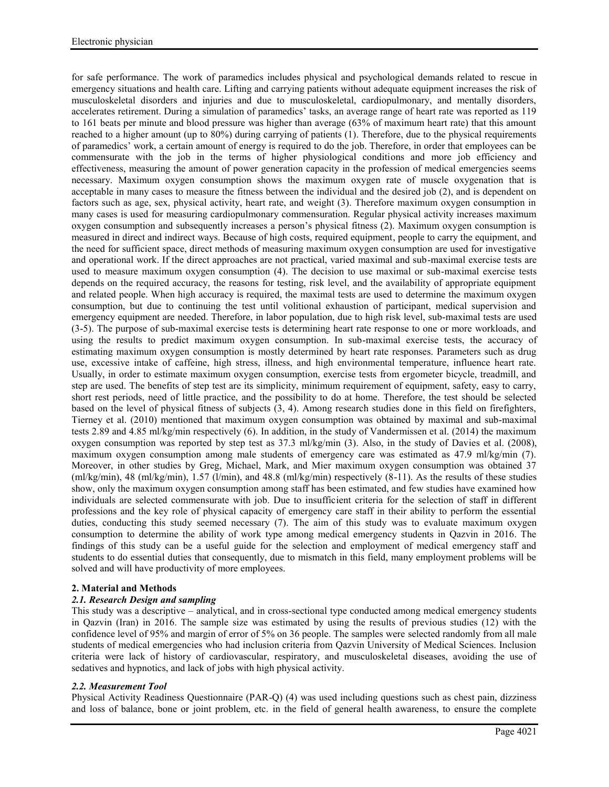for safe performance. The work of paramedics includes physical and psychological demands related to rescue in emergency situations and health care. Lifting and carrying patients without adequate equipment increases the risk of musculoskeletal disorders and injuries and due to musculoskeletal, cardiopulmonary, and mentally disorders, accelerates retirement. During a simulation of paramedics' tasks, an average range of heart rate was reported as 119 to 161 beats per minute and blood pressure was higher than average (63% of maximum heart rate) that this amount reached to a higher amount (up to 80%) during carrying of patients (1). Therefore, due to the physical requirements of paramedics' work, a certain amount of energy is required to do the job. Therefore, in order that employees can be commensurate with the job in the terms of higher physiological conditions and more job efficiency and effectiveness, measuring the amount of power generation capacity in the profession of medical emergencies seems necessary. Maximum oxygen consumption shows the maximum oxygen rate of muscle oxygenation that is acceptable in many cases to measure the fitness between the individual and the desired job (2), and is dependent on factors such as age, sex, physical activity, heart rate, and weight (3). Therefore maximum oxygen consumption in many cases is used for measuring cardiopulmonary commensuration. Regular physical activity increases maximum oxygen consumption and subsequently increases a person's physical fitness (2). Maximum oxygen consumption is measured in direct and indirect ways. Because of high costs, required equipment, people to carry the equipment, and the need for sufficient space, direct methods of measuring maximum oxygen consumption are used for investigative and operational work. If the direct approaches are not practical, varied maximal and sub-maximal exercise tests are used to measure maximum oxygen consumption (4). The decision to use maximal or sub-maximal exercise tests depends on the required accuracy, the reasons for testing, risk level, and the availability of appropriate equipment and related people. When high accuracy is required, the maximal tests are used to determine the maximum oxygen consumption, but due to continuing the test until volitional exhaustion of participant, medical supervision and emergency equipment are needed. Therefore, in labor population, due to high risk level, sub-maximal tests are used (3-5). The purpose of sub-maximal exercise tests is determining heart rate response to one or more workloads, and using the results to predict maximum oxygen consumption. In sub-maximal exercise tests, the accuracy of estimating maximum oxygen consumption is mostly determined by heart rate responses. Parameters such as drug use, excessive intake of caffeine, high stress, illness, and high environmental temperature, influence heart rate. Usually, in order to estimate maximum oxygen consumption, exercise tests from ergometer bicycle, treadmill, and step are used. The benefits of step test are its simplicity, minimum requirement of equipment, safety, easy to carry, short rest periods, need of little practice, and the possibility to do at home. Therefore, the test should be selected based on the level of physical fitness of subjects (3, 4). Among research studies done in this field on firefighters, Tierney et al. (2010) mentioned that maximum oxygen consumption was obtained by maximal and sub-maximal tests 2.89 and 4.85 ml/kg/min respectively (6). In addition, in the study of Vandermissen et al. (2014) the maximum oxygen consumption was reported by step test as 37.3 ml/kg/min (3). Also, in the study of Davies et al. (2008), maximum oxygen consumption among male students of emergency care was estimated as 47.9 ml/kg/min (7). Moreover, in other studies by Greg, Michael, Mark, and Mier maximum oxygen consumption was obtained 37  $(m/kg/min)$ , 48  $(m/kg/min)$ , 1.57 (1/min), and 48.8  $(m/kg/min)$  respectively  $(8-11)$ . As the results of these studies show, only the maximum oxygen consumption among staff has been estimated, and few studies have examined how individuals are selected commensurate with job. Due to insufficient criteria for the selection of staff in different professions and the key role of physical capacity of emergency care staff in their ability to perform the essential duties, conducting this study seemed necessary (7). The aim of this study was to evaluate maximum oxygen consumption to determine the ability of work type among medical emergency students in Qazvin in 2016. The findings of this study can be a useful guide for the selection and employment of medical emergency staff and students to do essential duties that consequently, due to mismatch in this field, many employment problems will be solved and will have productivity of more employees.

# **2. Material and Methods**

#### *2.1. Research Design and sampling*

This study was a descriptive – analytical, and in cross-sectional type conducted among medical emergency students in Qazvin (Iran) in 2016. The sample size was estimated by using the results of previous studies (12) with the confidence level of 95% and margin of error of 5% on 36 people. The samples were selected randomly from all male students of medical emergencies who had inclusion criteria from Qazvin University of Medical Sciences. Inclusion criteria were lack of history of cardiovascular, respiratory, and musculoskeletal diseases, avoiding the use of sedatives and hypnotics, and lack of jobs with high physical activity.

#### *2.2. Measurement Tool*

Physical Activity Readiness Questionnaire (PAR-Q) (4) was used including questions such as chest pain, dizziness and loss of balance, bone or joint problem, etc. in the field of general health awareness, to ensure the complete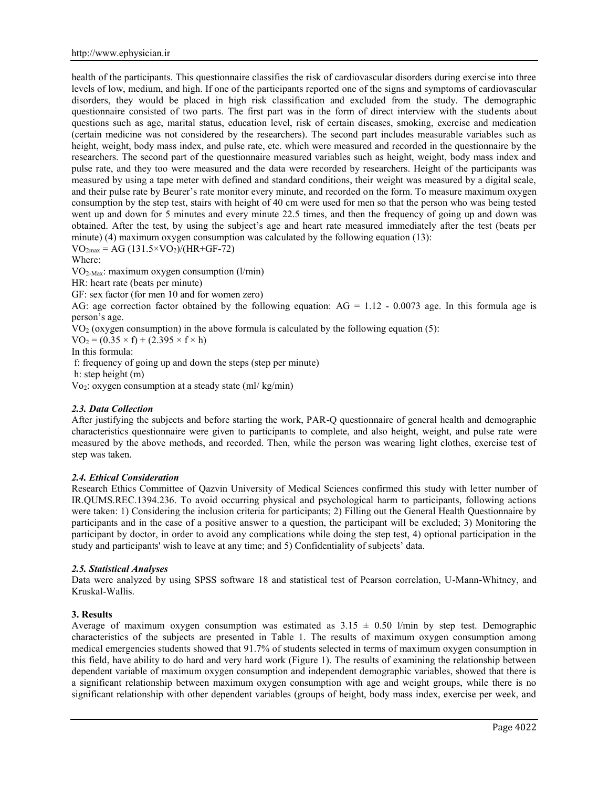health of the participants. This questionnaire classifies the risk of cardiovascular disorders during exercise into three levels of low, medium, and high. If one of the participants reported one of the signs and symptoms of cardiovascular disorders, they would be placed in high risk classification and excluded from the study. The demographic questionnaire consisted of two parts. The first part was in the form of direct interview with the students about questions such as age, marital status, education level, risk of certain diseases, smoking, exercise and medication (certain medicine was not considered by the researchers). The second part includes measurable variables such as height, weight, body mass index, and pulse rate, etc. which were measured and recorded in the questionnaire by the researchers. The second part of the questionnaire measured variables such as height, weight, body mass index and pulse rate, and they too were measured and the data were recorded by researchers. Height of the participants was measured by using a tape meter with defined and standard conditions, their weight was measured by a digital scale, and their pulse rate by Beurer's rate monitor every minute, and recorded on the form. To measure maximum oxygen consumption by the step test, stairs with height of 40 cm were used for men so that the person who was being tested went up and down for 5 minutes and every minute 22.5 times, and then the frequency of going up and down was obtained. After the test, by using the subject's age and heart rate measured immediately after the test (beats per minute) (4) maximum oxygen consumption was calculated by the following equation (13):

$$
VO_{2max} = AG (131.5 \times VO_2)/(HR + GF - 72)
$$

Where:

VO2-Max: maximum oxygen consumption (l/min)

HR: heart rate (beats per minute)

GF: sex factor (for men 10 and for women zero)

AG: age correction factor obtained by the following equation:  $AG = 1.12 - 0.0073$  age. In this formula age is person's age.

 $VO<sub>2</sub>$  (oxygen consumption) in the above formula is calculated by the following equation (5):

 $VO_2 = (0.35 \times f) + (2.395 \times f \times h)$ 

In this formula:

f: frequency of going up and down the steps (step per minute)

h: step height (m)

Vo2: oxygen consumption at a steady state (ml/ kg/min)

# *2.3. Data Collection*

After justifying the subjects and before starting the work, PAR-Q questionnaire of general health and demographic characteristics questionnaire were given to participants to complete, and also height, weight, and pulse rate were measured by the above methods, and recorded. Then, while the person was wearing light clothes, exercise test of step was taken.

#### *2.4. Ethical Consideration*

Research Ethics Committee of Qazvin University of Medical Sciences confirmed this study with letter number of IR.QUMS.REC.1394.236. To avoid occurring physical and psychological harm to participants, following actions were taken: 1) Considering the inclusion criteria for participants; 2) Filling out the General Health Questionnaire by participants and in the case of a positive answer to a question, the participant will be excluded; 3) Monitoring the participant by doctor, in order to avoid any complications while doing the step test, 4) optional participation in the study and participants' wish to leave at any time; and 5) Confidentiality of subjects' data.

#### *2.5. Statistical Analyses*

Data were analyzed by using SPSS software 18 and statistical test of Pearson correlation, U-Mann-Whitney, and Kruskal-Wallis.

# **3. Results**

Average of maximum oxygen consumption was estimated as  $3.15 \pm 0.50$  l/min by step test. Demographic characteristics of the subjects are presented in Table 1. The results of maximum oxygen consumption among medical emergencies students showed that 91.7% of students selected in terms of maximum oxygen consumption in this field, have ability to do hard and very hard work (Figure 1). The results of examining the relationship between dependent variable of maximum oxygen consumption and independent demographic variables, showed that there is a significant relationship between maximum oxygen consumption with age and weight groups, while there is no significant relationship with other dependent variables (groups of height, body mass index, exercise per week, and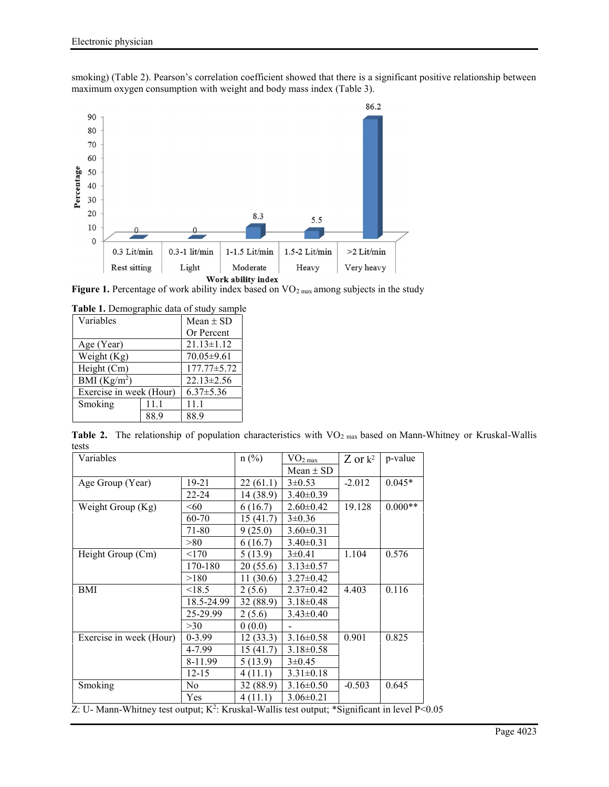smoking) (Table 2). Pearson's correlation coefficient showed that there is a significant positive relationship between maximum oxygen consumption with weight and body mass index (Table 3).



Figure 1. Percentage of work ability index based on VO<sub>2 max</sub> among subjects in the study

| Variables |                         |                                                            |
|-----------|-------------------------|------------------------------------------------------------|
|           | Or Percent              |                                                            |
|           | $21.13 \pm 1.12$        |                                                            |
|           | $70.05 \pm 9.61$        |                                                            |
|           | $177.77 \pm 5.72$       |                                                            |
|           | $22.13 \pm 2.56$        |                                                            |
|           | $6.37 \pm 5.36$         |                                                            |
| 11.1      | 11.1                    |                                                            |
| 88.9      | 88.9                    |                                                            |
|           | Exercise in week (Hour) | Table 1. Demographic data of study sample<br>Mean $\pm$ SD |

Weight (Kg)  $70.05 \pm 9.61$ 

Table 2. The relationship of population characteristics with VO<sub>2 max</sub> based on Mann-Whitney or Kruskal-Wallis tests

| Variables               |            | $n$ (%)   | VO <sub>2 max</sub> | $Z$ or $k^2$ | p-value   |
|-------------------------|------------|-----------|---------------------|--------------|-----------|
|                         |            |           | Mean $\pm$ SD       |              |           |
| Age Group (Year)        | 19-21      | 22(61.1)  | $3 \pm 0.53$        | $-2.012$     | $0.045*$  |
|                         | $22 - 24$  | 14 (38.9) | $3.40 \pm 0.39$     |              |           |
| Weight Group $(Kg)$     | < 60       | 6(16.7)   | $2.60 \pm 0.42$     | 19.128       | $0.000**$ |
|                         | 60-70      | 15(41.7)  | $3\pm0.36$          |              |           |
|                         | 71-80      | 9(25.0)   | $3.60 \pm 0.31$     |              |           |
|                         | >80        | 6(16.7)   | $3.40\pm0.31$       |              |           |
| Height Group (Cm)       | $<$ 170    | 5(13.9)   | $3\pm 0.41$         | 1.104        | 0.576     |
|                         | 170-180    | 20(55.6)  | $3.13 \pm 0.57$     |              |           |
|                         | >180       | 11(30.6)  | $3.27 \pm 0.42$     |              |           |
| BMI                     | < 18.5     | 2(5.6)    | $2.37 \pm 0.42$     | 4.403        | 0.116     |
|                         | 18.5-24.99 | 32(88.9)  | $3.18 \pm 0.48$     |              |           |
|                         | 25-29.99   | 2(5.6)    | $3.43 \pm 0.40$     |              |           |
|                         | >30        | 0(0.0)    |                     |              |           |
| Exercise in week (Hour) | $0 - 3.99$ | 12(33.3)  | $3.16 \pm 0.58$     | 0.901        | 0.825     |
|                         | 4-7.99     | 15(41.7)  | $3.18 \pm 0.58$     |              |           |
|                         | 8-11.99    | 5(13.9)   | $3\pm0.45$          |              |           |
|                         | 12-15      | 4(11.1)   | $3.31 \pm 0.18$     |              |           |
| Smoking                 | No.        | 32(88.9)  | $3.16 \pm 0.50$     | $-0.503$     | 0.645     |
|                         | Yes        | 4(11.1)   | $3.06 \pm 0.21$     |              |           |

Page 4023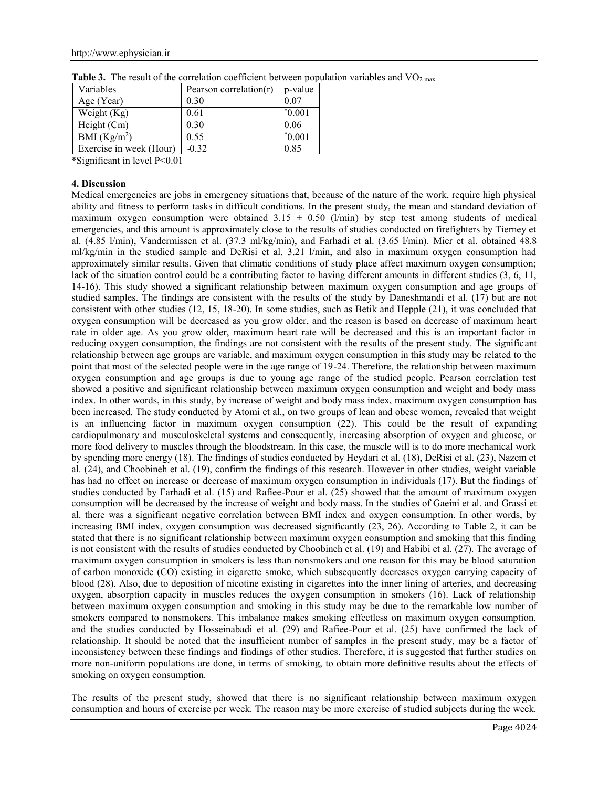| Variables               | Pearson correlation $(r)$ | p-value  |
|-------------------------|---------------------------|----------|
| Age (Year)              | 0.30                      | 0.07     |
| Weight $(Kg)$           | 0.61                      | $*0.001$ |
| Height (Cm)             | 0.30                      | 0.06     |
| BMI $(Kg/m2)$           | 0.55                      | $*0.001$ |
| Exercise in week (Hour) | $-0.32$                   | 0.85     |

**Table 3.** The result of the correlation coefficient between population variables and  $VO<sub>2 max</sub>$ 

\*Significant in level P<0.01

## **4. Discussion**

Medical emergencies are jobs in emergency situations that, because of the nature of the work, require high physical ability and fitness to perform tasks in difficult conditions. In the present study, the mean and standard deviation of maximum oxygen consumption were obtained  $3.15 \pm 0.50$  (l/min) by step test among students of medical emergencies, and this amount is approximately close to the results of studies conducted on firefighters by Tierney et al. (4.85 l/min), Vandermissen et al. (37.3 ml/kg/min), and Farhadi et al. (3.65 l/min). Mier et al. obtained 48.8 ml/kg/min in the studied sample and DeRisi et al. 3.21 l/min, and also in maximum oxygen consumption had approximately similar results. Given that climatic conditions of study place affect maximum oxygen consumption; lack of the situation control could be a contributing factor to having different amounts in different studies  $(3, 6, 11)$ , 14-16). This study showed a significant relationship between maximum oxygen consumption and age groups of studied samples. The findings are consistent with the results of the study by Daneshmandi et al. (17) but are not consistent with other studies (12, 15, 18-20). In some studies, such as Betik and Hepple (21), it was concluded that oxygen consumption will be decreased as you grow older, and the reason is based on decrease of maximum heart rate in older age. As you grow older, maximum heart rate will be decreased and this is an important factor in reducing oxygen consumption, the findings are not consistent with the results of the present study. The significant relationship between age groups are variable, and maximum oxygen consumption in this study may be related to the point that most of the selected people were in the age range of 19-24. Therefore, the relationship between maximum oxygen consumption and age groups is due to young age range of the studied people. Pearson correlation test showed a positive and significant relationship between maximum oxygen consumption and weight and body mass index. In other words, in this study, by increase of weight and body mass index, maximum oxygen consumption has been increased. The study conducted by Atomi et al., on two groups of lean and obese women, revealed that weight is an influencing factor in maximum oxygen consumption (22). This could be the result of expanding cardiopulmonary and musculoskeletal systems and consequently, increasing absorption of oxygen and glucose, or more food delivery to muscles through the bloodstream. In this case, the muscle will is to do more mechanical work by spending more energy (18). The findings of studies conducted by Heydari et al. (18), DeRisi et al. (23), Nazem et al. (24), and Choobineh et al. (19), confirm the findings of this research. However in other studies, weight variable has had no effect on increase or decrease of maximum oxygen consumption in individuals (17). But the findings of studies conducted by Farhadi et al. (15) and Rafiee-Pour et al. (25) showed that the amount of maximum oxygen consumption will be decreased by the increase of weight and body mass. In the studies of Gaeini et al. and Grassi et al. there was a significant negative correlation between BMI index and oxygen consumption. In other words, by increasing BMI index, oxygen consumption was decreased significantly (23, 26). According to Table 2, it can be stated that there is no significant relationship between maximum oxygen consumption and smoking that this finding is not consistent with the results of studies conducted by Choobineh et al. (19) and Habibi et al. (27). The average of maximum oxygen consumption in smokers is less than nonsmokers and one reason for this may be blood saturation of carbon monoxide (CO) existing in cigarette smoke, which subsequently decreases oxygen carrying capacity of blood (28). Also, due to deposition of nicotine existing in cigarettes into the inner lining of arteries, and decreasing oxygen, absorption capacity in muscles reduces the oxygen consumption in smokers (16). Lack of relationship between maximum oxygen consumption and smoking in this study may be due to the remarkable low number of smokers compared to nonsmokers. This imbalance makes smoking effectless on maximum oxygen consumption, and the studies conducted by Hosseinabadi et al. (29) and Rafiee-Pour et al. (25) have confirmed the lack of relationship. It should be noted that the insufficient number of samples in the present study, may be a factor of inconsistency between these findings and findings of other studies. Therefore, it is suggested that further studies on more non-uniform populations are done, in terms of smoking, to obtain more definitive results about the effects of smoking on oxygen consumption.

The results of the present study, showed that there is no significant relationship between maximum oxygen consumption and hours of exercise per week. The reason may be more exercise of studied subjects during the week.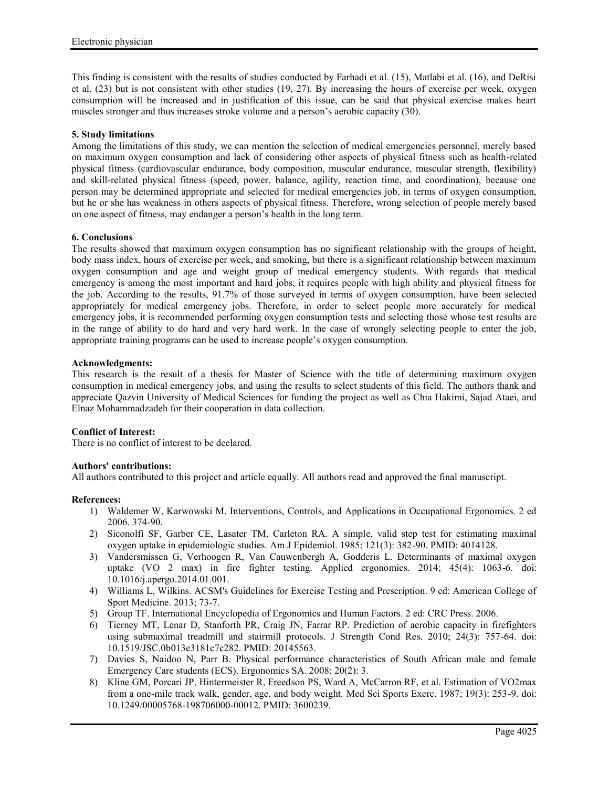This finding is consistent with the results of studies conducted by Farhadi et al. (15), Matlabi et al. (16), and DeRisi et al. (23) but is not consistent with other studies (19, 27). By increasing the hours of exercise per week, oxygen consumption will be increased and in justification of this issue, can be said that physical exercise makes heart muscles stronger and thus increases stroke volume and a person's aerobic capacity (30).

# **5. Study limitations**

Among the limitations of this study, we can mention the selection of medical emergencies personnel, merely based on maximum oxygen consumption and lack of considering other aspects of physical fitness such as health-related physical fitness (cardiovascular endurance, body composition, muscular endurance, muscular strength, flexibility) and skill-related physical fitness (speed, power, balance, agility, reaction time, and coordination), because one person may be determined appropriate and selected for medical emergencies job, in terms of oxygen consumption, but he or she has weakness in others aspects of physical fitness. Therefore, wrong selection of people merely based on one aspect of fitness, may endanger a person's health in the long term.

### **6. Conclusions**

The results showed that maximum oxygen consumption has no significant relationship with the groups of height, body mass index, hours of exercise per week, and smoking, but there is a significant relationship between maximum oxygen consumption and age and weight group of medical emergency students. With regards that medical emergency is among the most important and hard jobs, it requires people with high ability and physical fitness for the job. According to the results, 91.7% of those surveyed in terms of oxygen consumption, have been selected appropriately for medical emergency jobs. Therefore, in order to select people more accurately for medical emergency jobs, it is recommended performing oxygen consumption tests and selecting those whose test results are in the range of ability to do hard and very hard work. In the case of wrongly selecting people to enter the job, appropriate training programs can be used to increase people's oxygen consumption.

### **Acknowledgments:**

This research is the result of a thesis for Master of Science with the title of determining maximum oxygen consumption in medical emergency jobs, and using the results to select students of this field. The authors thank and appreciate Qazvin University of Medical Sciences for funding the project as well as Chia Hakimi, Sajad Ataei, and Elnaz Mohammadzadeh for their cooperation in data collection.

# **Conflict of Interest:**

There is no conflict of interest to be declared.

# **Authors' contributions:**

All authors contributed to this project and article equally. All authors read and approved the final manuscript.

#### **References:**

- 1) Waldemer W, Karwowski M. Interventions, Controls, and Applications in Occupational Ergonomics. 2 ed 2006. 374-90.
- 2) Siconolfi SF, Garber CE, Lasater TM, Carleton RA. A simple, valid step test for estimating maximal oxygen uptake in epidemiologic studies. Am J Epidemiol. 1985; 121(3): 382-90. PMID: 4014128.
- 3) Vandersmissen G, Verhoogen R, Van Cauwenbergh A, Godderis L. Determinants of maximal oxygen uptake (VO 2 max) in fire fighter testing. Applied ergonomics. 2014; 45(4): 1063-6. doi: 10.1016/j.apergo.2014.01.001.
- 4) Williams L, Wilkins. ACSM's Guidelines for Exercise Testing and Prescription. 9 ed: American College of Sport Medicine. 2013; 73-7.
- 5) Group TF. International Encyclopedia of Ergonomics and Human Factors. 2 ed: CRC Press. 2006.
- 6) Tierney MT, Lenar D, Stanforth PR, Craig JN, Farrar RP. Prediction of aerobic capacity in firefighters using submaximal treadmill and stairmill protocols. J Strength Cond Res. 2010; 24(3): 757-64. doi: 10.1519/JSC.0b013e3181c7c282. PMID: 20145563.
- 7) Davies S, Naidoo N, Parr B. Physical performance characteristics of South African male and female Emergency Care students (ECS). Ergonomics SA. 2008; 20(2): 3.
- 8) Kline GM, Porcari JP, Hintermeister R, Freedson PS, Ward A, McCarron RF, et al. Estimation of VO2max from a one-mile track walk, gender, age, and body weight. Med Sci Sports Exerc. 1987; 19(3): 253-9. doi: 10.1249/00005768-198706000-00012. PMID: 3600239.